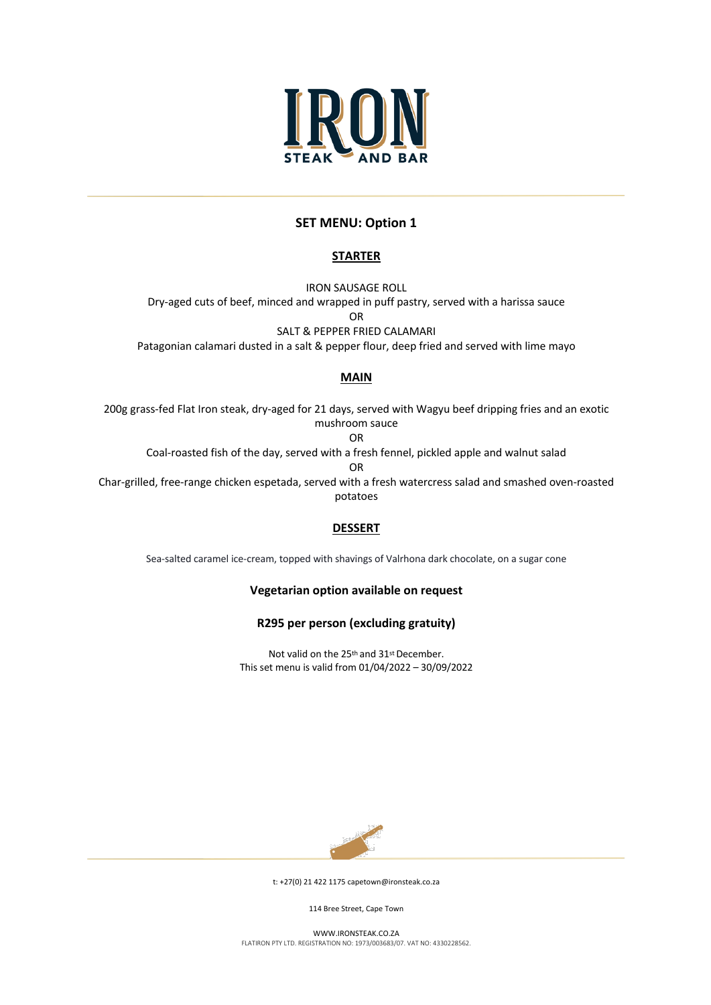

# **SET MENU: Option 1**

# **STARTER**

IRON SAUSAGE ROLL Dry-aged cuts of beef, minced and wrapped in puff pastry, served with a harissa sauce OR

SALT & PEPPER FRIED CALAMARI Patagonian calamari dusted in a salt & pepper flour, deep fried and served with lime mayo

## **MAIN**

200g grass-fed Flat Iron steak, dry-aged for 21 days, served with Wagyu beef dripping fries and an exotic mushroom sauce OR Coal-roasted fish of the day, served with a fresh fennel, pickled apple and walnut salad OR Char-grilled, free-range chicken espetada, served with a fresh watercress salad and smashed oven-roasted potatoes

### **DESSERT**

Sea-salted caramel ice-cream, topped with shavings of Valrhona dark chocolate, on a sugar cone

**Vegetarian option available on request** 

**R295 per person (excluding gratuity)**

Not valid on the 25th and 31st December. This set menu is valid from 01/04/2022 – 30/09/2022



t: +27(0) 21 422 1175 capetown@ironsteak.co.za

114 Bree Street, Cape Town

WWW.IRONSTEAK.CO.ZA FLATIRON PTY LTD. REGISTRATION NO: 1973/003683/07. VAT NO: 4330228562.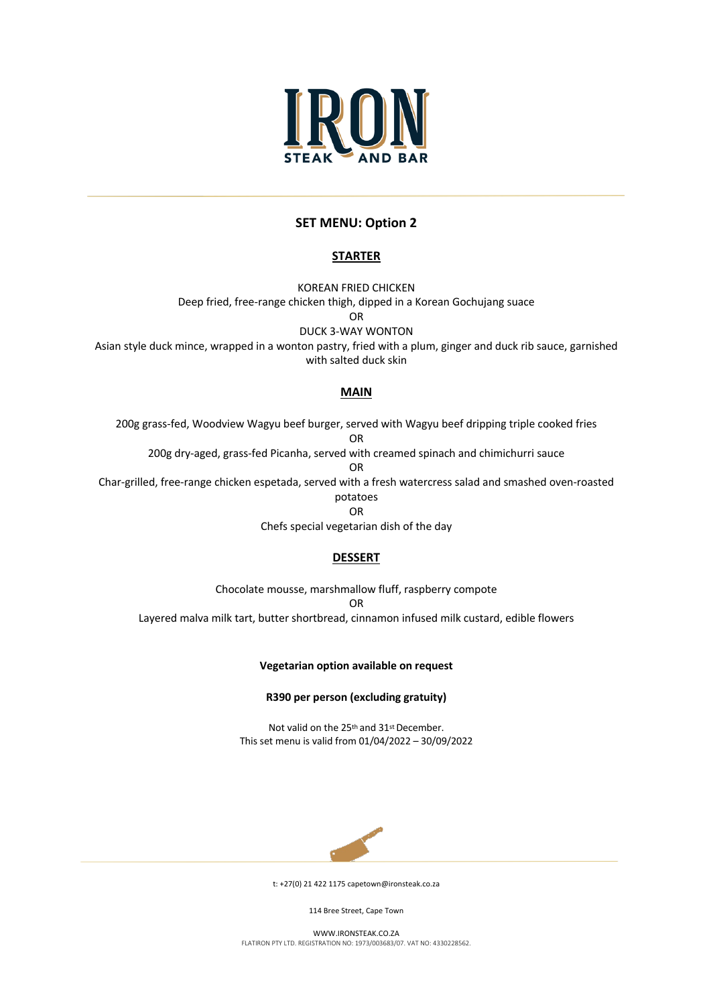

## **SET MENU: Option 2**

### **STARTER**

KOREAN FRIED CHICKEN

Deep fried, free-range chicken thigh, dipped in a Korean Gochujang suace

OR

DUCK 3-WAY WONTON

Asian style duck mince, wrapped in a wonton pastry, fried with a plum, ginger and duck rib sauce, garnished with salted duck skin

### **MAIN**

200g grass-fed, Woodview Wagyu beef burger, served with Wagyu beef dripping triple cooked fries OR 200g dry-aged, grass-fed Picanha, served with creamed spinach and chimichurri sauce

OR

Char-grilled, free-range chicken espetada, served with a fresh watercress salad and smashed oven-roasted

potatoes

OR Chefs special vegetarian dish of the day

## **DESSERT**

Chocolate mousse, marshmallow fluff, raspberry compote OR Layered malva milk tart, butter shortbread, cinnamon infused milk custard, edible flowers

### **Vegetarian option available on request**

**R390 per person (excluding gratuity)**

Not valid on the 25th and 31st December. This set menu is valid from 01/04/2022 – 30/09/2022



t: +27(0) 21 422 1175 capetown@ironsteak.co.za

114 Bree Street, Cape Town

WWW.IRONSTEAK.CO.ZA FLATIRON PTY LTD. REGISTRATION NO: 1973/003683/07. VAT NO: 4330228562.